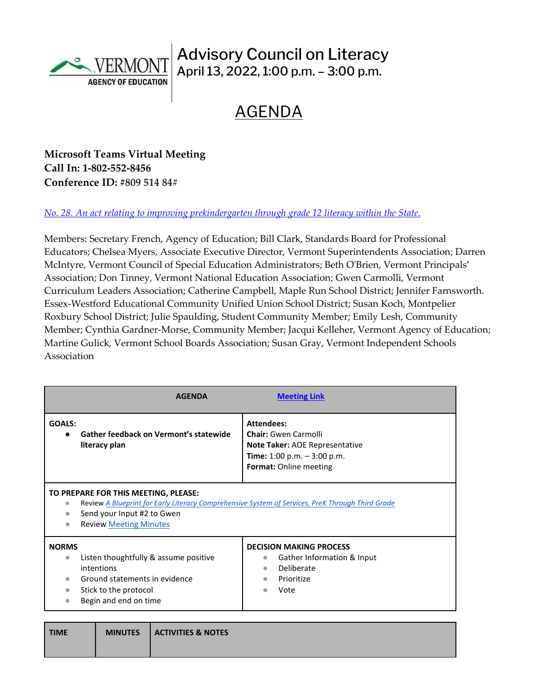

## Advisory Council on Literacy April 13, 2022, 1:00 p.m. - 3:00 p.m.

## AGENDA

## **Microsoft Teams Virtual Meeting Call In: [1-802-552-8456](about:blank) Conference ID: #809 514 84#**

## *No. 28. [An act relating to improving prekindergarten through grade 12 literacy within the State.](https://legislature.vermont.gov/Documents/2022/Docs/ACTS/ACT028/ACT028%20As%20Enacted.pdf)*

Members: Secretary French, Agency of Education; Bill Clark, Standards Board for Professional Educators; Chelsea Myers, Associate Executive Director, Vermont Superintendents Association; Darren McIntyre, Vermont Council of Special Education Administrators; Beth O'Brien, Vermont Principals' Association; Don Tinney, Vermont National Education Association; Gwen Carmolli, Vermont Curriculum Leaders Association; Catherine Campbell, Maple Run School District; Jennifer Farnsworth. Essex-Westford Educational Community Unified Union School District; Susan Koch, Montpelier Roxbury School District; Julie Spaulding, Student Community Member; Emily Lesh, Community Member; Cynthia Gardner-Morse, Community Member; Jacqui Kelleher, Vermont Agency of Education; Martine Gulick, Vermont School Boards Association; Susan Gray, Vermont Independent Schools Association

|                                                                                                                                                                                                                      | <b>AGENDA</b>                                                                                                                          | <b>Meeting Link</b>                                                                                                                                                |  |  |
|----------------------------------------------------------------------------------------------------------------------------------------------------------------------------------------------------------------------|----------------------------------------------------------------------------------------------------------------------------------------|--------------------------------------------------------------------------------------------------------------------------------------------------------------------|--|--|
| <b>GOALS:</b>                                                                                                                                                                                                        | Gather feedback on Vermont's statewide<br>literacy plan                                                                                | <b>Attendees:</b><br><b>Chair:</b> Gwen Carmolli<br><b>Note Taker: AOE Representative</b><br><b>Time:</b> 1:00 p.m. $-$ 3:00 p.m.<br><b>Format:</b> Online meeting |  |  |
| TO PREPARE FOR THIS MEETING, PLEASE:<br>Review A Blueprint for Early Literacy Comprehensive System of Services, PreK Through Third Grade<br>$\bullet$<br>Send your Input #2 to Gwen<br><b>Review Meeting Minutes</b> |                                                                                                                                        |                                                                                                                                                                    |  |  |
| <b>NORMS</b><br>$\bullet$                                                                                                                                                                                            | Listen thoughtfully & assume positive<br>intentions<br>Ground statements in evidence<br>Stick to the protocol<br>Begin and end on time | <b>DECISION MAKING PROCESS</b><br>Gather Information & Input<br>$\bullet$<br>Deliberate<br>Prioritize<br>Vote                                                      |  |  |

| <b>TIME</b> | <b>MINUTES</b> | <b>ACTIVITIES &amp; NOTES</b> |
|-------------|----------------|-------------------------------|
|             |                |                               |